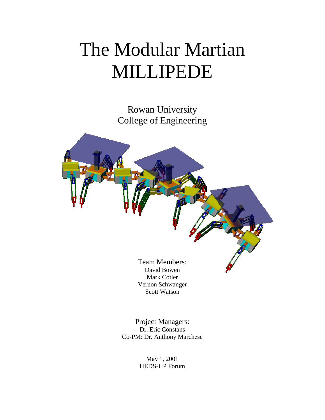# The Modular Martian MILLIPEDE

Rowan University College of Engineering



Mark Cotler Vernon Schwanger Scott Watson

Project Managers: Dr. Eric Constans Co-PM: Dr. Anthony Marchese

> May 1, 2001 HEDS-UP Forum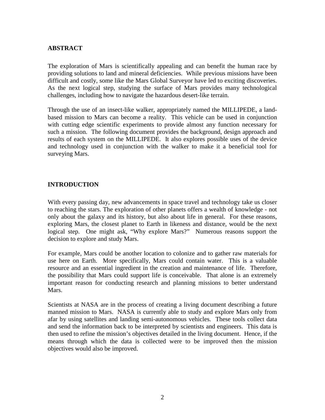## **ABSTRACT**

The exploration of Mars is scientifically appealing and can benefit the human race by providing solutions to land and mineral deficiencies. While previous missions have been difficult and costly, some like the Mars Global Surveyor have led to exciting discoveries. As the next logical step, studying the surface of Mars provides many technological challenges, including how to navigate the hazardous desert-like terrain.

Through the use of an insect-like walker, appropriately named the MILLIPEDE, a landbased mission to Mars can become a reality. This vehicle can be used in conjunction with cutting edge scientific experiments to provide almost any function necessary for such a mission. The following document provides the background, design approach and results of each system on the MILLIPEDE. It also explores possible uses of the device and technology used in conjunction with the walker to make it a beneficial tool for surveying Mars.

#### **INTRODUCTION**

With every passing day, new advancements in space travel and technology take us closer to reaching the stars. The exploration of other planets offers a wealth of knowledge - not only about the galaxy and its history, but also about life in general. For these reasons, exploring Mars, the closest planet to Earth in likeness and distance, would be the next logical step. One might ask, "Why explore Mars?" Numerous reasons support the decision to explore and study Mars.

For example, Mars could be another location to colonize and to gather raw materials for use here on Earth. More specifically, Mars could contain water. This is a valuable resource and an essential ingredient in the creation and maintenance of life. Therefore, the possibility that Mars could support life is conceivable. That alone is an extremely important reason for conducting research and planning missions to better understand Mars.

Scientists at NASA are in the process of creating a living document describing a future manned mission to Mars. NASA is currently able to study and explore Mars only from afar by using satellites and landing semi-autonomous vehicles. These tools collect data and send the information back to be interpreted by scientists and engineers. This data is then used to refine the mission's objectives detailed in the living document. Hence, if the means through which the data is collected were to be improved then the mission objectives would also be improved.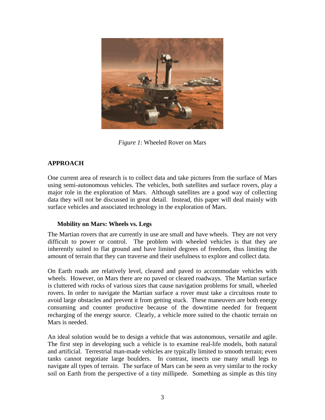

*Figure 1*: Wheeled Rover on Mars

# **APPROACH**

One current area of research is to collect data and take pictures from the surface of Mars using semi-autonomous vehicles. The vehicles, both satellites and surface rovers, play a major role in the exploration of Mars. Although satellites are a good way of collecting data they will not be discussed in great detail. Instead, this paper will deal mainly with surface vehicles and associated technology in the exploration of Mars.

## **Mobility on Mars: Wheels vs. Legs**

The Martian rovers that are currently in use are small and have wheels. They are not very difficult to power or control. The problem with wheeled vehicles is that they are inherently suited to flat ground and have limited degrees of freedom, thus limiting the amount of terrain that they can traverse and their usefulness to explore and collect data.

On Earth roads are relatively level, cleared and paved to accommodate vehicles with wheels. However, on Mars there are no paved or cleared roadways. The Martian surface is cluttered with rocks of various sizes that cause navigation problems for small, wheeled rovers. In order to navigate the Martian surface a rover must take a circuitous route to avoid large obstacles and prevent it from getting stuck. These maneuvers are both energy consuming and counter productive because of the downtime needed for frequent recharging of the energy source. Clearly, a vehicle more suited to the chaotic terrain on Mars is needed.

An ideal solution would be to design a vehicle that was autonomous, versatile and agile. The first step in developing such a vehicle is to examine real-life models, both natural and artificial. Terrestrial man-made vehicles are typically limited to smooth terrain; even tanks cannot negotiate large boulders. In contrast, insects use many small legs to navigate all types of terrain. The surface of Mars can be seen as very similar to the rocky soil on Earth from the perspective of a tiny millipede. Something as simple as this tiny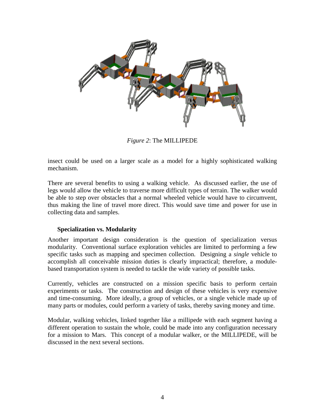

*Figure 2*: The MILLIPEDE

insect could be used on a larger scale as a model for a highly sophisticated walking mechanism.

There are several benefits to using a walking vehicle. As discussed earlier, the use of legs would allow the vehicle to traverse more difficult types of terrain. The walker would be able to step over obstacles that a normal wheeled vehicle would have to circumvent, thus making the line of travel more direct. This would save time and power for use in collecting data and samples.

#### **Specialization vs. Modularity**

Another important design consideration is the question of specialization versus modularity. Conventional surface exploration vehicles are limited to performing a few specific tasks such as mapping and specimen collection. Designing a *single* vehicle to accomplish all conceivable mission duties is clearly impractical; therefore, a modulebased transportation system is needed to tackle the wide variety of possible tasks.

Currently, vehicles are constructed on a mission specific basis to perform certain experiments or tasks. The construction and design of these vehicles is very expensive and time-consuming. More ideally, a group of vehicles, or a single vehicle made up of many parts or modules, could perform a variety of tasks, thereby saving money and time.

Modular, walking vehicles, linked together like a millipede with each segment having a different operation to sustain the whole, could be made into any configuration necessary for a mission to Mars. This concept of a modular walker, or the MILLIPEDE, will be discussed in the next several sections.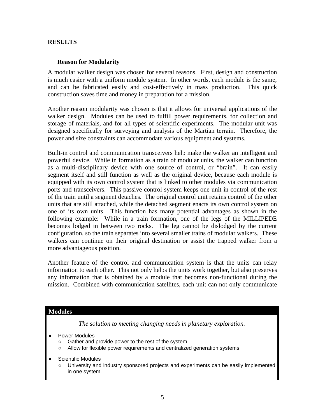#### **RESULTS**

#### **Reason for Modularity**

A modular walker design was chosen for several reasons. First, design and construction is much easier with a uniform module system. In other words, each module is the same, and can be fabricated easily and cost-effectively in mass production. This quick construction saves time and money in preparation for a mission.

Another reason modularity was chosen is that it allows for universal applications of the walker design. Modules can be used to fulfill power requirements, for collection and storage of materials, and for all types of scientific experiments. The modular unit was designed specifically for surveying and analysis of the Martian terrain. Therefore, the power and size constraints can accommodate various equipment and systems.

Built-in control and communication transceivers help make the walker an intelligent and powerful device. While in formation as a train of modular units, the walker can function as a multi-disciplinary device with one source of control, or "brain". It can easily segment itself and still function as well as the original device, because each module is equipped with its own control system that is linked to other modules via communication ports and transceivers. This passive control system keeps one unit in control of the rest of the train until a segment detaches. The original control unit retains control of the other units that are still attached, while the detached segment enacts its own control system on one of its own units. This function has many potential advantages as shown in the following example: While in a train formation, one of the legs of the MILLIPEDE becomes lodged in between two rocks. The leg cannot be dislodged by the current configuration, so the train separates into several smaller trains of modular walkers. These walkers can continue on their original destination or assist the trapped walker from a more advantageous position.

Another feature of the control and communication system is that the units can relay information to each other. This not only helps the units work together, but also preserves any information that is obtained by a module that becomes non-functional during the mission. Combined with communication satellites, each unit can not only communicate

#### **Modules**

*The solution to meeting changing needs in planetary exploration.* 

- Power Modules
	- Gather and provide power to the rest of the system
	- Allow for flexible power requirements and centralized generation systems
- **Scientific Modules** 
	- University and industry sponsored projects and experiments can be easily implemented in one system.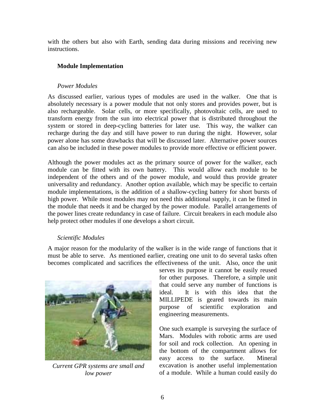with the others but also with Earth, sending data during missions and receiving new instructions.

### **Module Implementation**

#### *Power Modules*

As discussed earlier, various types of modules are used in the walker. One that is absolutely necessary is a power module that not only stores and provides power, but is also rechargeable. Solar cells, or more specifically, photovoltaic cells, are used to transform energy from the sun into electrical power that is distributed throughout the system or stored in deep-cycling batteries for later use. This way, the walker can recharge during the day and still have power to run during the night. However, solar power alone has some drawbacks that will be discussed later. Alternative power sources can also be included in these power modules to provide more effective or efficient power.

Although the power modules act as the primary source of power for the walker, each module can be fitted with its own battery. This would allow each module to be independent of the others and of the power module, and would thus provide greater universality and redundancy. Another option available, which may be specific to certain module implementations, is the addition of a shallow-cycling battery for short bursts of high power. While most modules may not need this additional supply, it can be fitted in the module that needs it and be charged by the power module. Parallel arrangements of the power lines create redundancy in case of failure. Circuit breakers in each module also help protect other modules if one develops a short circuit.

#### *Scientific Modules*

A major reason for the modularity of the walker is in the wide range of functions that it must be able to serve. As mentioned earlier, creating one unit to do several tasks often becomes complicated and sacrifices the effectiveness of the unit. Also, once the unit



*Current GPR systems are small and low power*

serves its purpose it cannot be easily reused for other purposes. Therefore, a simple unit that could serve any number of functions is ideal. It is with this idea that the MILLIPEDE is geared towards its main purpose of scientific exploration and engineering measurements.

One such example is surveying the surface of Mars. Modules with robotic arms are used for soil and rock collection. An opening in the bottom of the compartment allows for easy access to the surface. Mineral excavation is another useful implementation of a module. While a human could easily do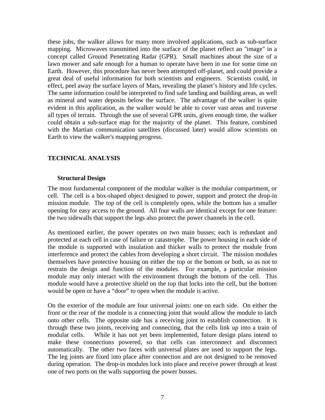these jobs, the walker allows for many more involved applications, such as sub-surface mapping. Microwaves transmitted into the surface of the planet reflect an "image" in a concept called Ground Penetrating Radar (GPR). Small machines about the size of a lawn mower and safe enough for a human to operate have been in use for some time on Earth. However, this procedure has never been attempted off-planet, and could provide a great deal of useful information for both scientists and engineers. Scientists could, in effect, peel away the surface layers of Mars, revealing the planet's history and life cycles. The same information could be interpreted to find safe landing and building areas, as well as mineral and water deposits below the surface. The advantage of the walker is quite evident in this application, as the walker would be able to cover vast areas and traverse all types of terrain. Through the use of several GPR units, given enough time, the walker could obtain a sub-surface map for the majority of the planet. This feature, combined with the Martian communication satellites (discussed later) would allow scientists on Earth to view the walker's mapping progress.

#### **TECHNICAL ANALYSIS**

#### **Structural Design**

The most fundamental component of the modular walker is the modular compartment, or cell. The cell is a box-shaped object designed to power, support and protect the drop-in mission module. The top of the cell is completely open, while the bottom has a smaller opening for easy access to the ground. All four walls are identical except for one feature: the two sidewalls that support the legs also protect the power channels in the cell.

As mentioned earlier, the power operates on two main busses; each is redundant and protected at each cell in case of failure or catastrophe. The power housing in each side of the module is supported with insulation and thicker walls to protect the module from interference and protect the cables from developing a short circuit. The mission modules themselves have protective housing on either the top or the bottom or both, so as not to restrain the design and function of the modules. For example, a particular mission module may only interact with the environment through the bottom of the cell. This module would have a protective shield on the top that locks into the cell, but the bottom would be open or have a "door" to open when the module is active.

On the exterior of the module are four universal joints: one on each side. On either the front or the rear of the module is a connecting joint that would allow the module to latch onto other cells. The opposite side has a receiving joint to establish connection. It is through these two joints, receiving and connecting, that the cells link up into a train of modular cells. While it has not yet been implemented, future design plans intend to make these connections powered, so that cells can interconnect and disconnect automatically. The other two faces with universal plates are used to support the legs. The leg joints are fixed into place after connection and are not designed to be removed during operation. The drop-in modules lock into place and receive power through at least one of two ports on the walls supporting the power busses.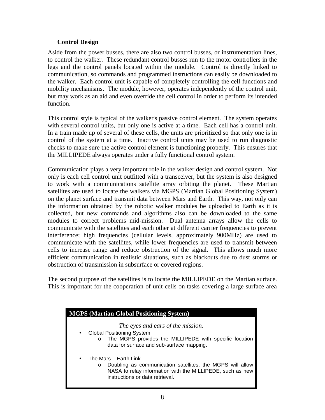### **Control Design**

Aside from the power busses, there are also two control busses, or instrumentation lines, to control the walker. These redundant control busses run to the motor controllers in the legs and the control panels located within the module. Control is directly linked to communication, so commands and programmed instructions can easily be downloaded to the walker. Each control unit is capable of completely controlling the cell functions and mobility mechanisms. The module, however, operates independently of the control unit, but may work as an aid and even override the cell control in order to perform its intended function.

This control style is typical of the walker's passive control element. The system operates with several control units, but only one is active at a time. Each cell has a control unit. In a train made up of several of these cells, the units are prioritized so that only one is in control of the system at a time. Inactive control units may be used to run diagnostic checks to make sure the active control element is functioning properly. This ensures that the MILLIPEDE always operates under a fully functional control system.

Communication plays a very important role in the walker design and control system. Not only is each cell control unit outfitted with a transceiver, but the system is also designed to work with a communications satellite array orbiting the planet. These Martian satellites are used to locate the walkers via MGPS (Martian Global Positioning System) on the planet surface and transmit data between Mars and Earth. This way, not only can the information obtained by the robotic walker modules be uploaded to Earth as it is collected, but new commands and algorithms also can be downloaded to the same modules to correct problems mid-mission. Dual antenna arrays allow the cells to communicate with the satellites and each other at different carrier frequencies to prevent interference; high frequencies (cellular levels, approximately 900MHz) are used to communicate with the satellites, while lower frequencies are used to transmit between cells to increase range and reduce obstruction of the signal. This allows much more efficient communication in realistic situations, such as blackouts due to dust storms or obstruction of transmission in subsurface or covered regions.

The second purpose of the satellites is to locate the MILLIPEDE on the Martian surface. This is important for the cooperation of unit cells on tasks covering a large surface area

| <b>MGPS (Martian Global Positioning System)</b>                                                                                                                                                            |  |  |  |  |
|------------------------------------------------------------------------------------------------------------------------------------------------------------------------------------------------------------|--|--|--|--|
| The eyes and ears of the mission.<br><b>Global Positioning System</b><br>$\bullet$<br>The MGPS provides the MILLIPEDE with specific location<br>data for surface and sub-surface mapping.                  |  |  |  |  |
| The Mars – Earth Link<br>$\bullet$<br>Doubling as communication satellites, the MGPS will allow<br>$\circ$<br>NASA to relay information with the MILLIPEDE, such as new<br>instructions or data retrieval. |  |  |  |  |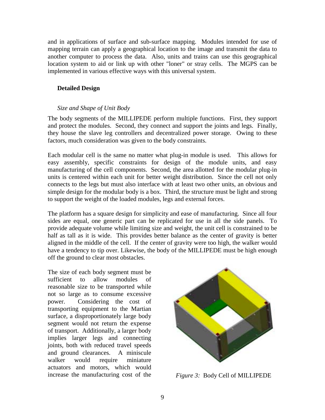and in applications of surface and sub-surface mapping. Modules intended for use of mapping terrain can apply a geographical location to the image and transmit the data to another computer to process the data. Also, units and trains can use this geographical location system to aid or link up with other "loner" or stray cells. The MGPS can be implemented in various effective ways with this universal system.

### **Detailed Design**

#### *Size and Shape of Unit Body*

The body segments of the MILLIPEDE perform multiple functions. First, they support and protect the modules. Second, they connect and support the joints and legs. Finally, they house the slave leg controllers and decentralized power storage. Owing to these factors, much consideration was given to the body constraints.

Each modular cell is the same no matter what plug-in module is used. This allows for easy assembly, specific constraints for design of the module units, and easy manufacturing of the cell components. Second, the area allotted for the modular plug-in units is centered within each unit for better weight distribution. Since the cell not only connects to the legs but must also interface with at least two other units, an obvious and simple design for the modular body is a box. Third, the structure must be light and strong to support the weight of the loaded modules, legs and external forces.

The platform has a square design for simplicity and ease of manufacturing. Since all four sides are equal, one generic part can be replicated for use in all the side panels. To provide adequate volume while limiting size and weight, the unit cell is constrained to be half as tall as it is wide. This provides better balance as the center of gravity is better aligned in the middle of the cell. If the center of gravity were too high, the walker would have a tendency to tip over. Likewise, the body of the MILLIPEDE must be high enough off the ground to clear most obstacles*.*

The size of each body segment must be sufficient to allow modules of reasonable size to be transported while not so large as to consume excessive power. Considering the cost of transporting equipment to the Martian surface, a disproportionately large body segment would not return the expense of transport. Additionally, a larger body implies larger legs and connecting joints, both with reduced travel speeds and ground clearances. A miniscule walker would require miniature actuators and motors, which would increase the manufacturing cost of the *Figure 3:* Body Cell of MILLIPEDE

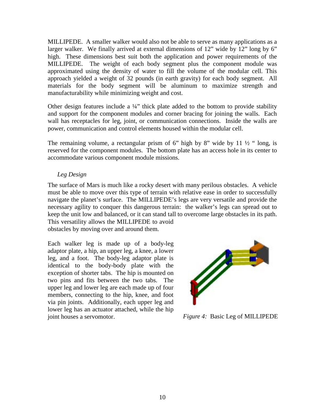MILLIPEDE. A smaller walker would also not be able to serve as many applications as a larger walker. We finally arrived at external dimensions of 12" wide by 12" long by 6" high. These dimensions best suit both the application and power requirements of the MILLIPEDE. The weight of each body segment plus the component module was approximated using the density of water to fill the volume of the modular cell. This approach yielded a weight of 32 pounds (in earth gravity) for each body segment. All materials for the body segment will be aluminum to maximize strength and manufacturability while minimizing weight and cost.

Other design features include a ¼" thick plate added to the bottom to provide stability and support for the component modules and corner bracing for joining the walls. Each wall has receptacles for leg, joint, or communication connections. Inside the walls are power, communication and control elements housed within the modular cell.

The remaining volume, a rectangular prism of 6" high by 8" wide by 11  $\frac{1}{2}$ " long, is reserved for the component modules. The bottom plate has an access hole in its center to accommodate various component module missions.

# *Leg Design*

The surface of Mars is much like a rocky desert with many perilous obstacles. A vehicle must be able to move over this type of terrain with relative ease in order to successfully navigate the planet's surface. The MILLIPEDE's legs are very versatile and provide the necessary agility to conquer this dangerous terrain: the walker's legs can spread out to keep the unit low and balanced, or it can stand tall to overcome large obstacles in its path.

This versatility allows the MILLIPEDE to avoid obstacles by moving over and around them.

Each walker leg is made up of a body-leg adaptor plate, a hip, an upper leg, a knee, a lower leg, and a foot. The body-leg adaptor plate is identical to the body-body plate with the exception of shorter tabs. The hip is mounted on two pins and fits between the two tabs. The upper leg and lower leg are each made up of four members, connecting to the hip, knee, and foot via pin joints. Additionally, each upper leg and lower leg has an actuator attached, while the hip joint houses a servomotor. *Figure 4:* Basic Leg of MILLIPEDE

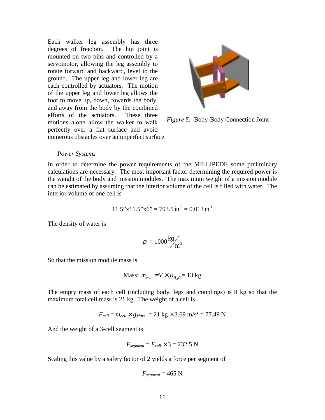Each walker leg assembly has three degrees of freedom. The hip joint is mounted on two pins and controlled by a servomotor, allowing the leg assembly to rotate forward and backward, level to the ground. The upper leg and lower leg are each controlled by actuators. The motion of the upper leg and lower leg allows the foot to move up, down, towards the body, and away from the body by the combined efforts of the actuators. These three motions alone allow the walker to walk perfectly over a flat surface and avoid numerous obstacles over an imperfect surface.



*Figure 5:* Body-Body Connection Joint

#### *Power Systems*

In order to determine the power requirements of the MILLIPEDE some preliminary calculations are necessary. The most important factor determining the required power is the weight of the body and mission modules. The maximum weight of a mission module can be estimated by assuming that the interior volume of the cell is filled with water. The interior volume of one cell is

$$
11.5"x11.5"x6" = 793.5 \text{ in}^3 = 0.013 \text{ m}^3
$$

The density of water is

$$
\rho = 1000 \frac{\text{kg}}{\text{m}^3}
$$

So that the mission module mass is

Mass: 
$$
m_{cell} = V \times \rho_{H_2O} = 13 \text{ kg}
$$

The empty mass of each cell (including body, legs and couplings) is 8 kg so that the maximum total cell mass is 21 kg. The weight of a cell is

$$
F_{cell} = m_{cell} \times g_{Mars} = 21 \text{ kg} \times 3.69 \text{ m/s}^2 = 77.49 \text{ N}
$$

And the weight of a 3-cell segment is

$$
F_{segment} = F_{cell} \times 3 = 232.5
$$
 N

Scaling this value by a safety factor of 2 yields a force per segment of

$$
F_{segment} = 465 \text{ N}
$$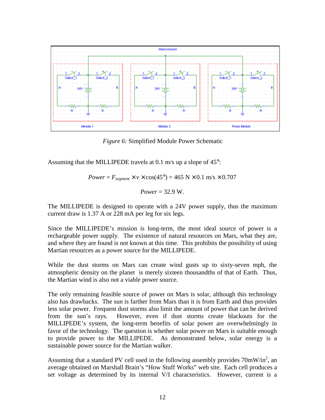

*Figure 6:* Simplified Module Power Schematic

Assuming that the MILLIPEDE travels at 0.1 m/s up a slope of 45°:

$$
Power = F_{segment} \times v \times \cos(45^\circ) = 465 \text{ N} \times 0.1 \text{ m/s} \times 0.707
$$

$$
Power = 32.9 \text{ W}.
$$

The MILLIPEDE is designed to operate with a 24V power supply, thus the maximum current draw is 1.37 A or 228 mA per leg for six legs.

Since the MILLIPEDE's mission is long-term, the most ideal source of power is a rechargeable power supply. The existence of natural resources on Mars, what they are, and where they are found is not known at this time. This prohibits the possibility of using Martian resources as a power source for the MILLIPEDE.

While the dust storms on Mars can create wind gusts up to sixty-seven mph, the atmospheric density on the planet is merely sixteen thousandths of that of Earth. Thus, the Martian wind is also not a viable power source.

The only remaining feasible source of power on Mars is solar, although this technology also has drawbacks. The sun is farther from Mars than it is from Earth and thus provides less solar power. Frequent dust storms also limit the amount of power that can be derived from the sun's rays. However, even if dust storms create blackouts for the MILLIPEDE's system, the long-term benefits of solar power are overwhelmingly in favor of the technology. The question is whether solar power on Mars is suitable enough to provide power to the MILLIPEDE. As demonstrated below, solar energy is a sustainable power source for the Martian walker.

Assuming that a standard PV cell used in the following assembly provides  $70 \text{mW/in}^2$ , an average obtained on Marshall Brain's "How Stuff Works" web site. Each cell produces a set voltage as determined by its internal V/I characteristics. However, current is a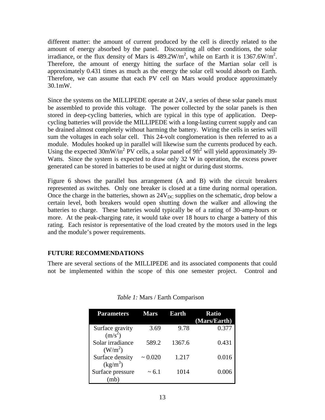different matter: the amount of current produced by the cell is directly related to the amount of energy absorbed by the panel. Discounting all other conditions, the solar irradiance, or the flux density of Mars is  $489.2 \text{W/m}^2$ , while on Earth it is  $1367.6 \text{W/m}^2$ . Therefore, the amount of energy hitting the surface of the Martian solar cell is approximately 0.431 times as much as the energy the solar cell would absorb on Earth. Therefore, we can assume that each PV cell on Mars would produce approximately 30.1mW.

Since the systems on the MILLIPEDE operate at 24V, a series of these solar panels must be assembled to provide this voltage. The power collected by the solar panels is then stored in deep-cycling batteries, which are typical in this type of application. Deepcycling batteries will provide the MILLIPEDE with a long-lasting current supply and can be drained almost completely without harming the battery. Wiring the cells in series will sum the voltages in each solar cell. This 24-volt conglomeration is then referred to as a module. Modules hooked up in parallel will likewise sum the currents produced by each. Using the expected  $30 \text{mW/in}^2$  PV cells, a solar panel of 9ft<sup>2</sup> will yield approximately 39-Watts. Since the system is expected to draw only 32 W in operation, the excess power generated can be stored in batteries to be used at night or during dust storms.

Figure 6 shows the parallel bus arrangement (A and B) with the circuit breakers represented as switches. Only one breaker is closed at a time during normal operation. Once the charge in the batteries, shown as  $24V_{DC}$  supplies on the schematic, drop below a certain level, both breakers would open shutting down the walker and allowing the batteries to charge. These batteries would typically be of a rating of 30-amp-hours or more. At the peak-charging rate, it would take over 18 hours to charge a battery of this rating. Each resistor is representative of the load created by the motors used in the legs and the module's power requirements.

## **FUTURE RECOMMENDATIONS**

There are several sections of the MILLIPEDE and its associated components that could not be implemented within the scope of this one semester project. Control and

| <b>Parameters</b>                       | <b>Mars</b>  | Earth  | <b>Ratio</b><br>(Mars/Earth) |
|-----------------------------------------|--------------|--------|------------------------------|
| Surface gravity<br>$(m/s^2)$            | 3.69         | 9.78   | 0.377                        |
| Solar irradiance<br>(W/m <sup>2</sup> ) | 589.2        | 1367.6 | 0.431                        |
| Surface density<br>$(kg/m^3)$           | $\sim 0.020$ | 1.217  | 0.016                        |
| Surface pressure<br>(mb                 | $\sim 6.1$   | 1014   | 0.006                        |

*Table 1:* Mars / Earth Comparison